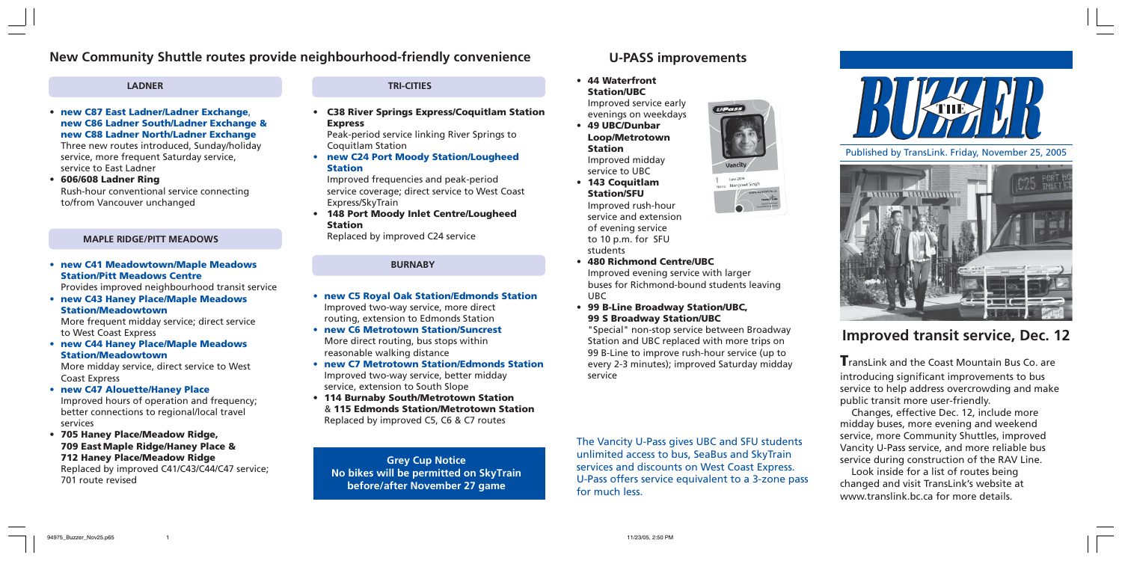## **New Community Shuttle routes provide neighbourhood-friendly convenience**

#### **LADNER**

**• new C87 East Ladner/Ladner Exchange**, **new C86 Ladner South/Ladner Exchange & new C88 Ladner North/Ladner Exchange**

Three new routes introduced, Sunday/holiday service, more frequent Saturday service, service to East Ladner

**• 606/608 Ladner Ring** Rush-hour conventional service connecting to/from Vancouver unchanged

#### **MAPLE RIDGE/PITT MEADOWS**

#### **• new C41 Meadowtown/Maple Meadows Station/Pitt Meadows Centre**

Provides improved neighbourhood transit service

**• new C43 Haney Place/Maple Meadows Station/Meadowtown**

More frequent midday service; direct service to West Coast Express

**• new C44 Haney Place/Maple Meadows Station/Meadowtown**

More midday service, direct service to West Coast Express

- **• new C47 Alouette/Haney Place** Improved hours of operation and frequency; better connections to regional/local travel services
- **• 705 Haney Place/Meadow Ridge, 709 East Maple Ridge/Haney Place & 712 Haney Place/Meadow Ridge** Replaced by improved C41/C43/C44/C47 service; 701 route revised

**• C38 River Springs Express/Coquitlam Station Express**

Peak-period service linking River Springs to Coquitlam Station

**• new C24 Port Moody Station/Lougheed Station**

Improved frequencies and peak-period service coverage; direct service to West Coast Express/SkyTrain

**• 148 Port Moody Inlet Centre/Lougheed Station**

Replaced by improved C24 service

#### **BURNABY**

- **• new C5 Royal Oak Station/Edmonds Station** Improved two-way service, more direct routing, extension to Edmonds Station
- **• new C6 Metrotown Station/Suncrest** More direct routing, bus stops within reasonable walking distance
- **• new C7 Metrotown Station/Edmonds Station** Improved two-way service, better midday service, extension to South Slope
- **• 114 Burnaby South/Metrotown Station** & **115 Edmonds Station/Metrotown Station** Replaced by improved C5, C6 & C7 routes

**Grey Cup Notice No bikes will be permitted on SkyTrain before/after November 27 game**

**U-PASS improvements**

#### **TRI-CITIES • 44 Waterfront Station/UBC**

Improved service early evenings on weekdays

- **49 UBC/Dunbar Loop/Metrotown Station** Improved midday service to UBC
- **• 143 Coquitlam Station/SFU** Improved rush-hour service and extension of evening service to 10 p.m. for SFU students
- **• 480 Richmond Centre/UBC** Improved evening service with larger buses for Richmond-bound students leaving UBC
- **• 99 B-Line Broadway Station/UBC, 99 S Broadway Station/UBC**

"Special" non-stop service between Broadway Station and UBC replaced with more trips on 99 B-Line to improve rush-hour service (up to every 2-3 minutes); improved Saturday midday service

The Vancity U-Pass gives UBC and SFU students unlimited access to bus, SeaBus and SkyTrain services and discounts on West Coast Express. U-Pass offers service equivalent to a 3-zone pass for much less.



Published by TransLink. Friday, November 25, 2005



# **Improved transit service, Dec. 12**

**T**ransLink and the Coast Mountain Bus Co. are introducing significant improvements to bus service to help address overcrowding and make public transit more user-friendly.

Changes, effective Dec. 12, include more midday buses, more evening and weekend service, more Community Shuttles, improved Vancity U-Pass service, and more reliable bus service during construction of the RAV Line.

Look inside for a list of routes being changed and visit TransLink's website at www.translink.bc.ca for more details.

Manpreet Singh

**UPas**